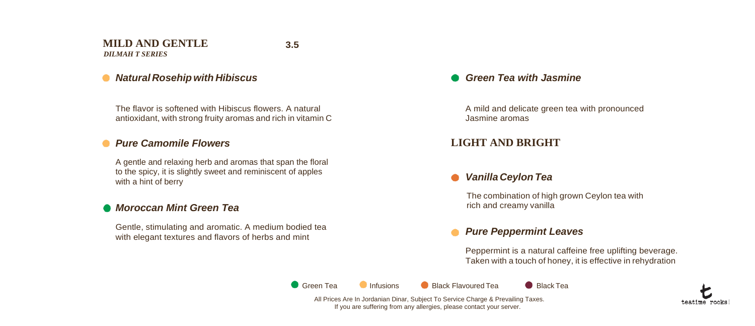### **MILD AND GENTLE**  *DILMAH T SERIES*

**3.5**

## *Natural Rosehipwith Hibiscus*

The flavor is softened with Hibiscus flowers. A natural antioxidant, with strong fruity aromas and rich in vitamin C

## *Pure Camomile Flowers*

A gentle and relaxing herb and aromas that span the floral to the spicy, it is slightly sweet and reminiscent of apples with a hint of berry

## *Moroccan Mint Green Tea*

Gentle, stimulating and aromatic. A medium bodied tea with elegant textures and flavors of herbs and mint

## *Green Tea with Jasmine*

A mild and delicate green tea with pronounced Jasmine aromas

## **LIGHT AND BRIGHT**

## *Vanilla Ceylon Tea*

The combination of high grown Ceylon tea with rich and creamy vanilla

## *Pure Peppermint Leaves*

Peppermint is a natural caffeine free uplifting beverage. Taken with a touch of honey, it is effective in rehydration

**C** Green Tea **Infusions** Black Flavoured Tea **Black Tea** 

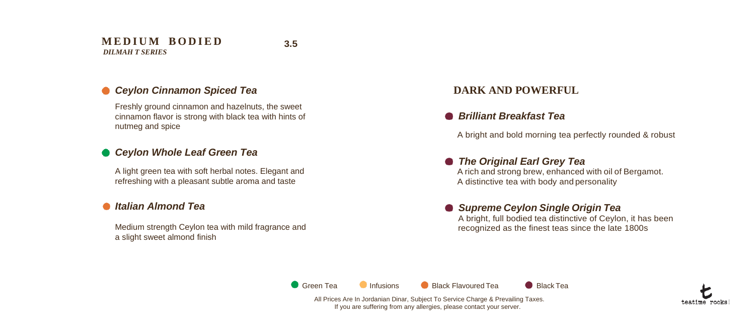#### **M E D I U M B O D I E D** *DILMAH T SERIES*

**3.5**

## *Ceylon Cinnamon Spiced Tea*

Freshly ground cinnamon and hazelnuts, the sweet cinnamon flavor is strong with black tea with hints of nutmeg and spice

## *Ceylon Whole Leaf Green Tea*

A light green tea with soft herbal notes. Elegant and refreshing with a pleasant subtle aroma and taste

## *Italian Almond Tea*

Medium strength Ceylon tea with mild fragrance and a slight sweet almond finish

## **DARK AND POWERFUL**

## *Brilliant Breakfast Tea*

A bright and bold morning tea perfectly rounded & robust

## *The Original Earl Grey Tea*

 A rich and strong brew, enhanced with oil of Bergamot. A distinctive tea with body and personality

### *Supreme Ceylon Single Origin Tea* A bright, full bodied tea distinctive of Ceylon, it has been recognized as the finest teas since the late 1800s

**C** Green Tea **Infusions** Black Flavoured Tea **Black Tea** 

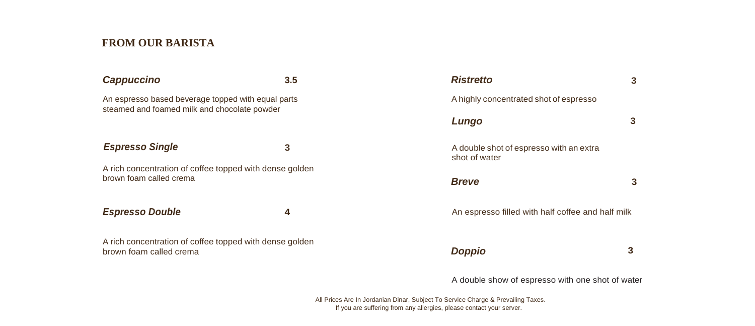## **FROM OUR BARISTA**

## *Cappuccino* **3.5**

## **Espresso Single 3 3**

## **Espresso Double 4** An espresso  $\boldsymbol{\theta}$

| <b>Cappuccino</b>                                                                                  | 3.5 | <b>Ristretto</b>                                         | 3                                                 |  |
|----------------------------------------------------------------------------------------------------|-----|----------------------------------------------------------|---------------------------------------------------|--|
| An espresso based beverage topped with equal parts<br>steamed and foamed milk and chocolate powder |     | A highly concentrated shot of espresso                   |                                                   |  |
|                                                                                                    |     | Lungo                                                    |                                                   |  |
| <b>Espresso Single</b>                                                                             | 3   | A double shot of espresso with an extra<br>shot of water |                                                   |  |
| A rich concentration of coffee topped with dense golden<br>brown foam called crema                 |     | <b>Breve</b>                                             | 3                                                 |  |
| <b>Espresso Double</b>                                                                             | 4   |                                                          | An espresso filled with half coffee and half milk |  |
| A rich concentration of coffee topped with dense golden<br>brown foam called crema                 |     | <b>Doppio</b>                                            | 3                                                 |  |

A double show of espresso with one shot of water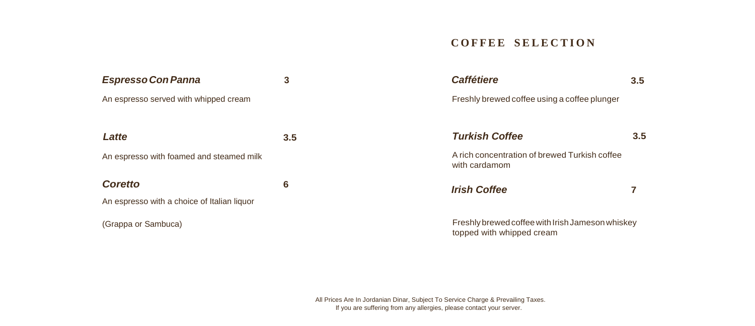## **C O F F E E S E L E C T I O N**

| <b>Espresso Con Panna</b>                   | 3             | <b>Caffétiere</b>                                                             | 3.5 |
|---------------------------------------------|---------------|-------------------------------------------------------------------------------|-----|
| An espresso served with whipped cream       |               | Freshly brewed coffee using a coffee plunger                                  |     |
|                                             |               |                                                                               |     |
| Latte                                       | $3.5^{\circ}$ | <b>Turkish Coffee</b>                                                         | 3.5 |
| An espresso with foamed and steamed milk    |               | A rich concentration of brewed Turkish coffee<br>with cardamom                |     |
| <b>Coretto</b>                              | 6             | <b>Irish Coffee</b>                                                           |     |
| An espresso with a choice of Italian liquor |               |                                                                               |     |
| (Grappa or Sambuca)                         |               | Freshly brewed coffee with Irish Jameson whiskey<br>topped with whipped cream |     |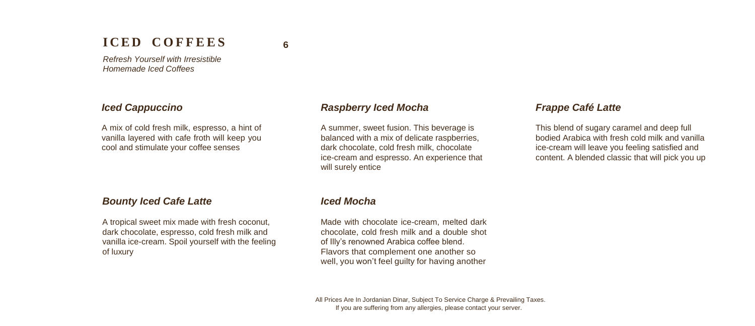# **I C E D C O F F E E S**

**6**

*Refresh Yourself with Irresistible Homemade Iced Coffees*

#### *Iced Cappuccino*

A mix of cold fresh milk, espresso, a hint of vanilla layered with cafe froth will keep you cool and stimulate your coffee senses

#### *Bounty Iced Cafe Latte*

A tropical sweet mix made with fresh coconut, dark chocolate, espresso, cold fresh milk and vanilla ice-cream. Spoil yourself with the feeling of luxury

#### *Raspberry Iced Mocha*

A summer, sweet fusion. This beverage is balanced with a mix of delicate raspberries, dark chocolate, cold fresh milk, chocolate ice-cream and espresso. An experience that will surely entice

### *Frappe Café Latte*

This blend of sugary caramel and deep full bodied Arabica with fresh cold milk and vanilla ice-cream will leave you feeling satisfied and content. A blended classic that will pick you up

### *Iced Mocha*

Made with chocolate ice-cream, melted dark chocolate, cold fresh milk and a double shot of Illy's renowned Arabica coffee blend. Flavors that complement one another so well, you won't feel guilty for having another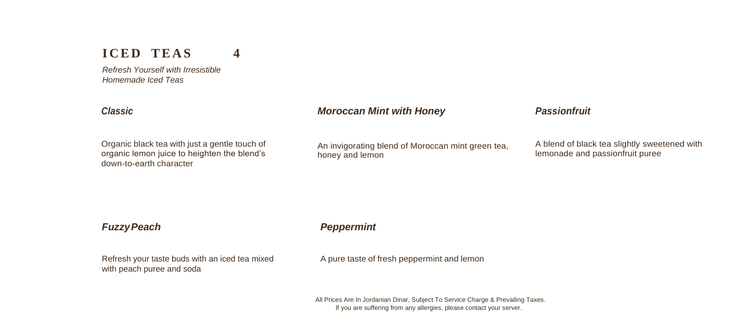# **ICED TEAS** 4

*Refresh Yourself with Irresistible Homemade Iced Teas*

#### *Moroccan Mint with Honey Classic Passionfruit*

Organic black tea with just a gentle touch of organic lemon juice to heighten the blend's down-to-earth character

An invigorating blend of Moroccan mint green tea, honey and lemon

A blend of black tea slightly sweetened with lemonade and passionfruit puree

## *FuzzyPeach Peppermint*

Refresh your taste buds with an iced tea mixed with peach puree and soda

A pure taste of fresh peppermint and lemon